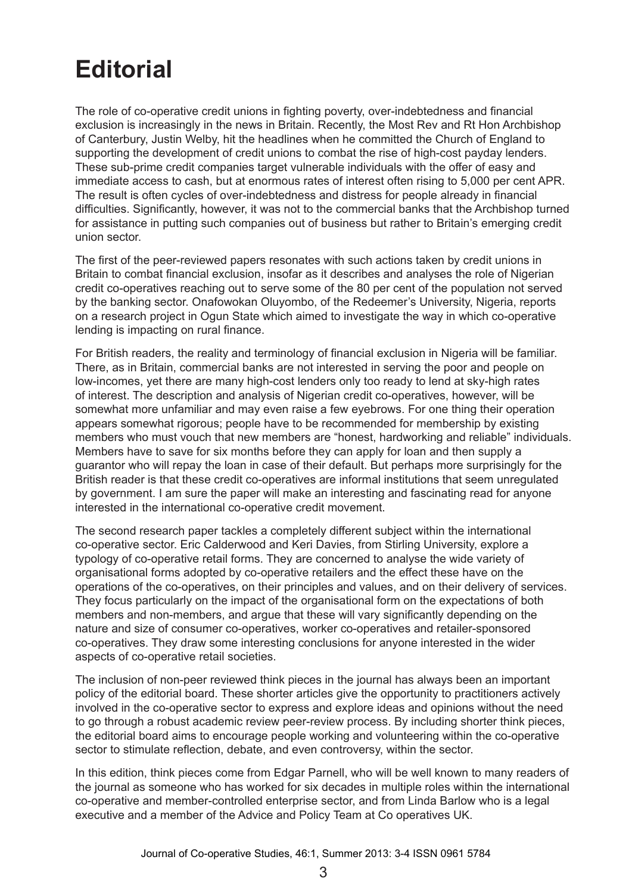## **Editorial**

The role of co-operative credit unions in fighting poverty, over-indebtedness and financial exclusion is increasingly in the news in Britain. Recently, the Most Rev and Rt Hon Archbishop of Canterbury, Justin Welby, hit the headlines when he committed the Church of England to supporting the development of credit unions to combat the rise of high-cost payday lenders. These sub-prime credit companies target vulnerable individuals with the offer of easy and immediate access to cash, but at enormous rates of interest often rising to 5,000 per cent APR. The result is often cycles of over-indebtedness and distress for people already in financial difficulties. Significantly, however, it was not to the commercial banks that the Archbishop turned for assistance in putting such companies out of business but rather to Britain's emerging credit union sector.

The first of the peer-reviewed papers resonates with such actions taken by credit unions in Britain to combat financial exclusion, insofar as it describes and analyses the role of Nigerian credit co-operatives reaching out to serve some of the 80 per cent of the population not served by the banking sector. Onafowokan Oluyombo, of the Redeemer's University, Nigeria, reports on a research project in Ogun State which aimed to investigate the way in which co-operative lending is impacting on rural finance.

For British readers, the reality and terminology of financial exclusion in Nigeria will be familiar. There, as in Britain, commercial banks are not interested in serving the poor and people on low-incomes, yet there are many high-cost lenders only too ready to lend at sky-high rates of interest. The description and analysis of Nigerian credit co-operatives, however, will be somewhat more unfamiliar and may even raise a few eyebrows. For one thing their operation appears somewhat rigorous; people have to be recommended for membership by existing members who must vouch that new members are "honest, hardworking and reliable" individuals. Members have to save for six months before they can apply for loan and then supply a guarantor who will repay the loan in case of their default. But perhaps more surprisingly for the British reader is that these credit co-operatives are informal institutions that seem unregulated by government. I am sure the paper will make an interesting and fascinating read for anyone interested in the international co-operative credit movement.

The second research paper tackles a completely different subject within the international co-operative sector. Eric Calderwood and Keri Davies, from Stirling University, explore a typology of co-operative retail forms. They are concerned to analyse the wide variety of organisational forms adopted by co-operative retailers and the effect these have on the operations of the co-operatives, on their principles and values, and on their delivery of services. They focus particularly on the impact of the organisational form on the expectations of both members and non-members, and argue that these will vary significantly depending on the nature and size of consumer co-operatives, worker co-operatives and retailer-sponsored co-operatives. They draw some interesting conclusions for anyone interested in the wider aspects of co-operative retail societies.

The inclusion of non-peer reviewed think pieces in the journal has always been an important policy of the editorial board. These shorter articles give the opportunity to practitioners actively involved in the co-operative sector to express and explore ideas and opinions without the need to go through a robust academic review peer-review process. By including shorter think pieces, the editorial board aims to encourage people working and volunteering within the co-operative sector to stimulate reflection, debate, and even controversy, within the sector.

In this edition, think pieces come from Edgar Parnell, who will be well known to many readers of the journal as someone who has worked for six decades in multiple roles within the international co-operative and member-controlled enterprise sector, and from Linda Barlow who is a legal executive and a member of the Advice and Policy Team at Co operatives UK.